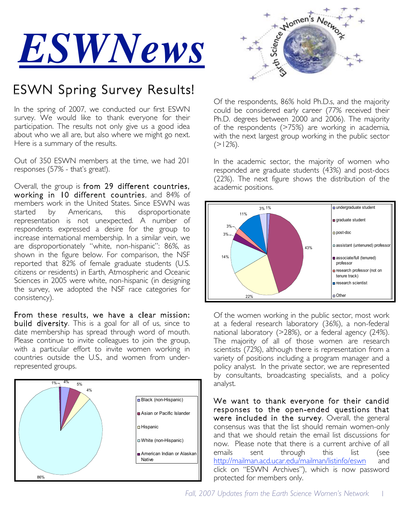

# ESWN Spring Survey Results!

In the spring of 2007, we conducted our first ESWN survey. We would like to thank everyone for their participation. The results not only give us a good idea about who we all are, but also where we might go next. Here is a summary of the results.

Out of 350 ESWN members at the time, we had 201 responses (57% - that's great!).

Overall, the group is from 29 different countries, working in 10 different countries, and 84% of members work in the United States. Since ESWN was started by Americans, this disproportionate representation is not unexpected. A number of respondents expressed a desire for the group to increase international membership. In a similar vein, we are disproportionately "white, non-hispanic": 86%, as shown in the figure below. For comparison, the NSF reported that 82% of female graduate students (U.S. citizens or residents) in Earth, Atmospheric and Oceanic Sciences in 2005 were white, non-hispanic (in designing the survey, we adopted the NSF race categories for consistency).

From these results, we have a clear mission: build diversity. This is a goal for all of us, since to date membership has spread through word of mouth. Please continue to invite colleagues to join the group, with a particular effort to invite women working in countries outside the U.S., and women from underrepresented groups.





Of the respondents, 86% hold Ph.D.s, and the majority could be considered early career (77% received their Ph.D. degrees between 2000 and 2006). The majority of the respondents (>75%) are working in academia, with the next largest group working in the public sector  $(>12\%)$ .

In the academic sector, the majority of women who responded are graduate students (43%) and post-docs (22%). The next figure shows the distribution of the academic positions.



Of the women working in the public sector, most work at a federal research laboratory (36%), a non-federal national laboratory (>28%), or a federal agency (24%). The majority of all of those women are research scientists (72%), although there is representation from a variety of positions including a program manager and a policy analyst. In the private sector, we are represented by consultants, broadcasting specialists, and a policy analyst.

We want to thank everyone for their candid responses to the open-ended questions that were included in the survey. Overall, the general consensus was that the list should remain women-only and that we should retain the email list discussions for now. Please note that there is a current archive of all emails sent through this list (see http://mailman.acd.ucar.edu/mailman/listinfo/eswn and click on "ESWN Archives"), which is now password protected for members only.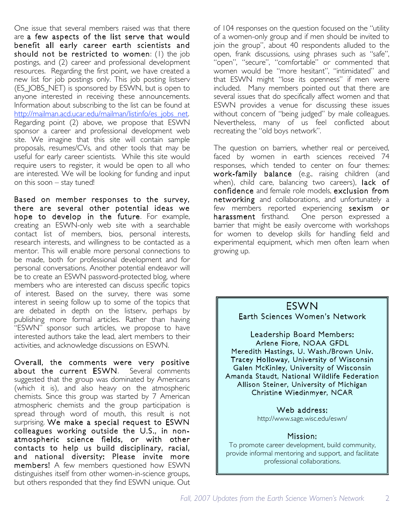One issue that several members raised was that there are a few aspects of the list serve that would benefit all early career earth scientists and should not be restricted to women: (1) the job postings, and (2) career and professional development resources. Regarding the first point, we have created a new list for job postings only. This job posting listserv (ES\_JOBS\_NET) is sponsored by ESWN, but is open to anyone interested in receiving these announcements. Information about subscribing to the list can be found at http://mailman.acd.ucar.edu/mailman/listinfo/es\_jobs\_net. Regarding point (2) above, we propose that ESWN sponsor a career and professional development web site. We imagine that this site will contain sample proposals, resumes/CVs, and other tools that may be useful for early career scientists. While this site would require users to register, it would be open to all who are interested. We will be looking for funding and input on this soon – stay tuned!

Based on member responses to the survey, there are several other potential ideas we hope to develop in the future. For example, creating an ESWN-only web site with a searchable contact list of members, bios, personal interests, research interests, and willingness to be contacted as a mentor. This will enable more personal connections to be made, both for professional development and for personal conversations. Another potential endeavor will be to create an ESWN password-protected blog, where members who are interested can discuss specific topics of interest. Based on the survey, there was some interest in seeing follow up to some of the topics that are debated in depth on the listserv, perhaps by publishing more formal articles. Rather than having "ESWN" sponsor such articles, we propose to have interested authors take the lead, alert members to their activities, and acknowledge discussions on ESWN.

Overall, the comments were very positive about the current ESWN. Several comments suggested that the group was dominated by Americans (which it is), and also heavy on the atmospheric chemists. Since this group was started by 7 American atmospheric chemists and the group participation is spread through word of mouth, this result is not surprising. We make a special request to ESWN colleagues working outside the U.S., in nonatmospheric science fields, or with other contacts to help us build disciplinary, racial, and national diversity: Please invite more members! A few members questioned how ESWN distinguishes itself from other women-in-science groups, but others responded that they find ESWN unique. Out

of 104 responses on the question focused on the "utility of a women-only group and if men should be invited to join the group", about 40 respondents alluded to the open, frank discussions, using phrases such as "safe", "open", "secure", "comfortable" or commented that women would be "more hesitant", "intimidated" and that ESWN might "lose its openness" if men were included. Many members pointed out that there are several issues that do specifically affect women and that ESWN provides a venue for discussing these issues without concern of "being judged" by male colleagues. Nevertheless, many of us feel conflicted about recreating the "old boys network".

The question on barriers, whether real or perceived, faced by women in earth sciences received 74 responses, which tended to center on four themes: work-family balance (e.g., raising children (and when), child care, balancing two careers), lack of confidence and female role models, exclusion from networking and collaborations, and unfortunately a few members reported experiencing sexism or harassment firsthand. One person expressed a barrier that might be easily overcome with workshops for women to develop skills for handling field and experimental equipment, which men often learn when growing up.

### ESWN Earth Sciences Women's Network

Leadership Board Members: Arlene Fiore, NOAA GFDL Meredith Hastings, U. Wash./Brown Univ. Tracey Holloway, University of Wisconsin Galen McKinley, University of Wisconsin Amanda Staudt, National Wildlife Federation Allison Steiner, University of Michigan Christine Wiedinmyer, NCAR

#### Web address:

http://www.sage.wisc.edu/eswn/

#### Mission:

To promote career development, build community, provide informal mentoring and support, and facilitate professional collaborations.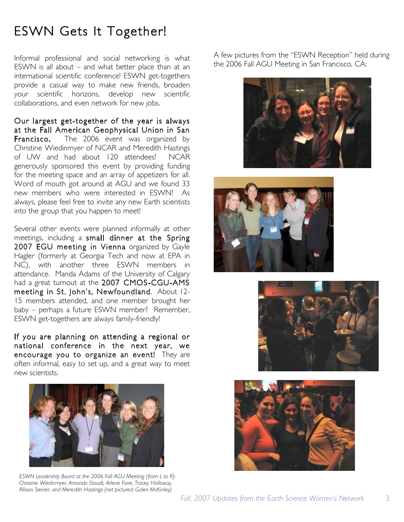## ESWN Gets It Together!

Informal professional and social networking is what ESWN is all about – and what better place than at an international scientific conference! ESWN get-togethers provide a casual way to make new friends, broaden your scientific horizons, develop new scientific collaborations, and even network for new jobs.

Our largest get-together of the year is always at the Fall American Geophysical Union in San Francisco. The 2006 event was organized by Christine Wiedinmyer of NCAR and Meredith Hastings of UW and had about 120 attendees! NCAR generously sponsored this event by providing funding for the meeting space and an array of appetizers for all. Word of mouth got around at AGU and we found 33 new members who were interested in ESWN! As always, please feel free to invite any new Earth scientists into the group that you happen to meet!

Several other events were planned informally at other meetings, including a small dinner at the Spring 2007 EGU meeting in Vienna organized by Gayle Hagler (formerly at Georgia Tech and now at EPA in NC), with another three ESWN members in attendance. Manda Adams of the University of Calgary had a great turnout at the 2007 CMOS-CGU-AMS meeting in St. John's, Newfoundland. About 12- 15 members attended, and one member brought her baby – perhaps a future ESWN member? Remember, ESWN get-togethers are always family-friendly!

If you are planning on attending a regional or national conference in the next year, we encourage you to organize an event! They are often informal, easy to set up, and a great way to meet new scientists.



*ESWN Leadership Board at the 2006 Fall AGU Meeting (from L to R): Christine Wiedinmyer, Amanda Staudt, Arlene Fiore, Tracey Holloway, Allison Steiner, and Meredith Hastings (not pictured: Galen McKinley)*

A few pictures from the "ESWN Reception" held during the 2006 Fall AGU Meeting in San Francisco, CA:







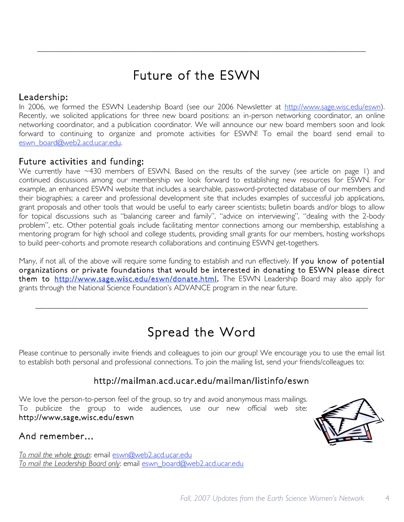# Future of the ESWN

#### Leadership:

In 2006, we formed the ESWN Leadership Board (see our 2006 Newsletter at http://www.sage.wisc.edu/eswn). Recently, we solicited applications for three new board positions: an in-person networking coordinator, an online networking coordinator, and a publication coordinator. We will announce our new board members soon and look forward to continuing to organize and promote activities for ESWN! To email the board send email to eswn\_board@web2.acd.ucar.edu.

### Future activities and funding:

We currently have ~430 members of ESWN. Based on the results of the survey (see article on page 1) and continued discussions among our membership we look forward to establishing new resources for ESWN. For example, an enhanced ESWN website that includes a searchable, password-protected database of our members and their biographies; a career and professional development site that includes examples of successful job applications, grant proposals and other tools that would be useful to early career scientists; bulletin boards and/or blogs to allow for topical discussions such as "balancing career and family", "advice on interviewing", "dealing with the 2-body problem", etc. Other potential goals include facilitating mentor connections among our membership, establishing a mentoring program for high school and college students, providing small grants for our members, hosting workshops to build peer-cohorts and promote research collaborations and continuing ESWN get-togethers.

Many, if not all, of the above will require some funding to establish and run effectively. If you know of potential organizations or private foundations that would be interested in donating to ESWN please direct them to http://www.sage.wisc.edu/eswn/donate.html. The ESWN Leadership Board may also apply for grants through the National Science Foundation's ADVANCE program in the near future.

## Spread the Word

Please continue to personally invite friends and colleagues to join our group! We encourage you to use the email list to establish both personal and professional connections. To join the mailing list, send your friends/colleagues to:

### http://mailman.acd.ucar.edu/mailman/listinfo/eswn

We love the person-to-person feel of the group, so try and avoid anonymous mass mailings. To publicize the group to wide audiences, use our new official web site: http://www.sage.wisc.edu/eswn

And remember…

*To mail the whole group*: email eswn@web2.acd.ucar.edu *To mail the Leadership Board only*: email eswn\_board@web2.acd.ucar.edu

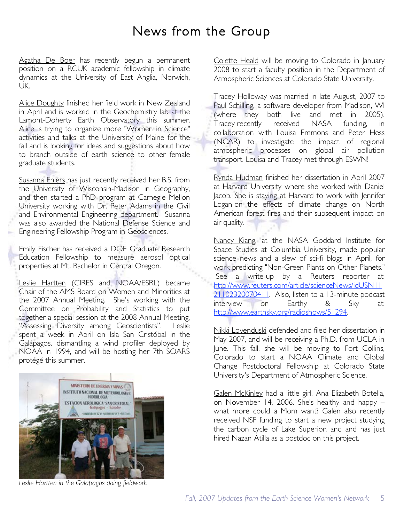### News from the Group

Agatha De Boer has recently begun a permanent position on a RCUK academic fellowship in climate dynamics at the University of East Anglia, Norwich, UK.

Alice Doughty finished her field work in New Zealand in April and is worked in the Geochemistry lab at the Lamont-Doherty Earth Observatory this summer. Alice is trying to organize more "Women in Science" activities and talks at the University of Maine for the fall and is looking for ideas and suggestions about how to branch outside of earth science to other female graduate students.

Susanna Ehlers has just recently received her B.S. from the University of Wisconsin-Madison in Geography, and then started a PhD program at Carnegie Mellon University working with Dr. Peter Adams in the Civil and Environmental Engineering department. Susanna was also awarded the National Defense Science and Engineering Fellowship Program in Geosciences.

Emily Fischer has received a DOE Graduate Research Education Fellowship to measure aerosol optical properties at Mt. Bachelor in Central Oregon.

Leslie Hartten (CIRES and NOAA/ESRL) became Chair of the AMS Board on Women and Minorities at the 2007 Annual Meeting. She's working with the Committee on Probability and Statistics to put together a special session at the 2008 Annual Meeting, "Assessing Diversity among Geoscientists". Leslie spent a week in April on Isla San Cristóbal in the Galápagos, dismantling a wind profiler deployed by NOAA in 1994, and will be hosting her 7th SOARS protégé this summer.



*Leslie Hartten in the Galapagos doing fieldwork*

Colette Heald will be moving to Colorado in January 2008 to start a faculty position in the Department of Atmospheric Sciences at Colorado State University.

Tracey Holloway was married in late August, 2007 to Paul Schilling, a software developer from Madison, WI (where they both live and met in 2005). Tracey recently received NASA funding, collaboration with Louisa Emmons and Peter Hess (NCAR) to investigate the impact of regional atmospheric processes on global air pollution transport. Louisa and Tracey met through ESWN!

Rynda Hudman finished her dissertation in April 2007 at Harvard University where she worked with Daniel Jacob. She is staying at Harvard to work with Jennifer Logan on the effects of climate change on North American forest fires and their subsequent impact on air quality.

Nancy Kiang, at the NASA Goddard Institute for Space Studies at Columbia University, made popular science news and a slew of sci-fi blogs in April, for work predicting "Non-Green Plants on Other Planets." See a write-up by a Reuters reporter at: http://www.reuters.com/article/scienceNews/idUSN11 21102320070411. Also, listen to a 13-minute podcast interview on Earthy & Sky at: http://www.earthsky.org/radioshows/51294.

Nikki Lovenduski defended and filed her dissertation in May 2007, and will be receiving a Ph.D. from UCLA in June. This fall, she will be moving to Fort Collins, Colorado to start a NOAA Climate and Global Change Postdoctoral Fellowship at Colorado State University's Department of Atmospheric Science.

Galen McKinley had a little girl, Ana Elizabeth Botella, on November 14, 2006. She's healthy and happy – what more could a Mom want? Galen also recently received NSF funding to start a new project studying the carbon cycle of Lake Superior, and and has just hired Nazan Atilla as a postdoc on this project.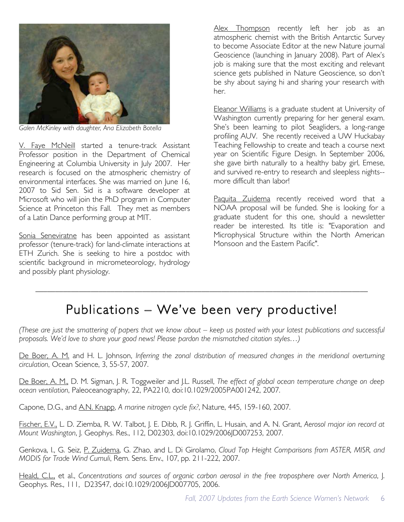

*Galen McKinley with daughter, Ana Elizabeth Botella*

V. Faye McNeill started a tenure-track Assistant Professor position in the Department of Chemical Engineering at Columbia University in July 2007. Her research is focused on the atmospheric chemistry of environmental interfaces. She was married on June 16, 2007 to Sid Sen. Sid is a software developer at Microsoft who will join the PhD program in Computer Science at Princeton this Fall. They met as members of a Latin Dance performing group at MIT.

Sonia Seneviratne has been appointed as assistant professor (tenure-track) for land-climate interactions at ETH Zurich. She is seeking to hire a postdoc with scientific background in micrometeorology, hydrology and possibly plant physiology.

Alex Thompson recently left her job as an atmospheric chemist with the British Antarctic Survey to become Associate Editor at the new Nature journal Geoscience (launching in January 2008). Part of Alex's job is making sure that the most exciting and relevant science gets published in Nature Geoscience, so don't be shy about saying hi and sharing your research with her.

Eleanor Williams is a graduate student at University of Washington currently preparing for her general exam. She's been learning to pilot Seagliders, a long-range profiling AUV. She recently received a UW Huckabay Teaching Fellowship to create and teach a course next year on Scientific Figure Design. In September 2006, she gave birth naturally to a healthy baby girl, Emese, and survived re-entry to research and sleepless nights- more difficult than labor!

Paquita Zuidema recently received word that a NOAA proposal will be funded. She is looking for a graduate student for this one, should a newsletter reader be interested. Its title is: "Evaporation and Microphysical Structure within the North American Monsoon and the Eastern Pacific".

## Publications – We've been very productive!

(These are just the smattering of papers that we know about – keep us posted with your latest publications and successful *proposals. We'd love to share your good news! Please pardon the mismatched citation styles…)*

De Boer, A. M. and H. L. Johnson, *Inferring the zonal distribution of measured changes in the meridional overturning circulation*, Ocean Science, 3, 55-57, 2007.

De Boer, A. M., D. M. Sigman, J. R. Toggweiler and J.L. Russell, *The effect of global ocean temperature change on deep ocean ventilation*, Paleoceanography, 22, PA2210, doi:10.1029/2005PA001242, 2007.

Capone, D.G., and A.N. Knapp, *A marine nitrogen cycle fix?*, Nature, 445, 159-160, 2007.

Fischer, E.V., L. D. Ziemba, R. W. Talbot, J. E. Dibb, R. J. Griffin, L. Husain, and A. N. Grant, *Aerosol major ion record at Mount Washington*, J. Geophys. Res., 112, D02303, doi:10.1029/2006JD007253, 2007.

Genkova, I., G. Seiz, P. Zuidema, G. Zhao, and L. Di Girolamo, *Cloud Top Height Comparisons from ASTER, MISR, and MODIS for Trade Wind Cumuli*, Rem. Sens. Env., 107, pp. 211-222, 2007.

Heald, C.L., et al., *Concentrations and sources of organic carbon aerosol in the free troposphere over North America*, J. Geophys. Res., 111, D23S47, doi:10.1029/2006JD007705, 2006.